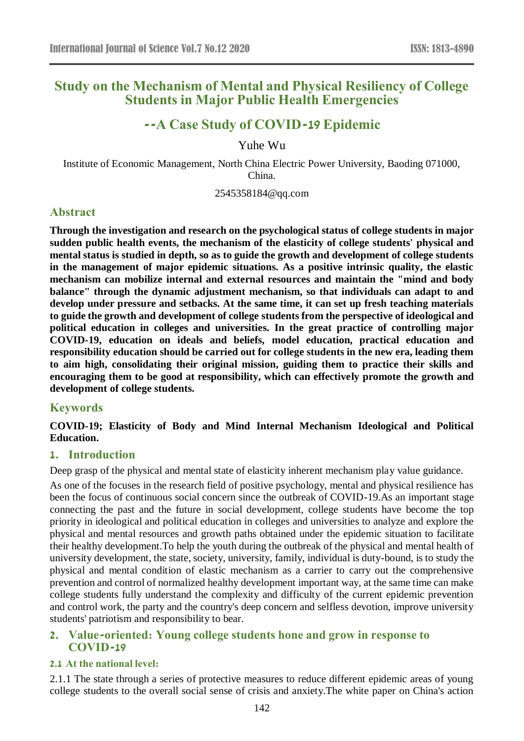# **Study on the Mechanism of Mental and Physical Resiliency of College Students in Major Public Health Emergencies**

# **--A Case Study of COVID-19 Epidemic**

Yuhe Wu

Institute of Economic Management, North China Electric Power University, Baoding 071000, China.

2545358184@qq.com

# **Abstract**

**Through the investigation and research on the psychological status of college students in major sudden public health events, the mechanism of the elasticity of college students' physical and mental status is studied in depth, so as to guide the growth and development of college students in the management of major epidemic situations. As a positive intrinsic quality, the elastic mechanism can mobilize internal and external resources and maintain the "mind and body balance" through the dynamic adjustment mechanism, so that individuals can adapt to and develop under pressure and setbacks. At the same time, it can set up fresh teaching materials to guide the growth and development of college students from the perspective of ideological and political education in colleges and universities. In the great practice of controlling major COVID-19, education on ideals and beliefs, model education, practical education and responsibility education should be carried out for college students in the new era, leading them to aim high, consolidating their original mission, guiding them to practice their skills and encouraging them to be good at responsibility, which can effectively promote the growth and development of college students.**

# **Keywords**

**COVID-19; Elasticity of Body and Mind Internal Mechanism Ideological and Political Education.**

### **1. Introduction**

Deep grasp of the physical and mental state of elasticity inherent mechanism play value guidance.

As one of the focuses in the research field of positive psychology, mental and physical resilience has been the focus of continuous social concern since the outbreak of COVID-19.As an important stage connecting the past and the future in social development, college students have become the top priority in ideological and political education in colleges and universities to analyze and explore the physical and mental resources and growth paths obtained under the epidemic situation to facilitate their healthy development.To help the youth during the outbreak of the physical and mental health of university development, the state, society, university, family, individual is duty-bound, is to study the physical and mental condition of elastic mechanism as a carrier to carry out the comprehensive prevention and control of normalized healthy development important way, at the same time can make college students fully understand the complexity and difficulty of the current epidemic prevention and control work, the party and the country's deep concern and selfless devotion, improve university students' patriotism and responsibility to bear.

### **2. Value-oriented: Young college students hone and grow in response to COVID-19**

#### **2.1 At the national level:**

2.1.1 The state through a series of protective measures to reduce different epidemic areas of young college students to the overall social sense of crisis and anxiety.The white paper on China's action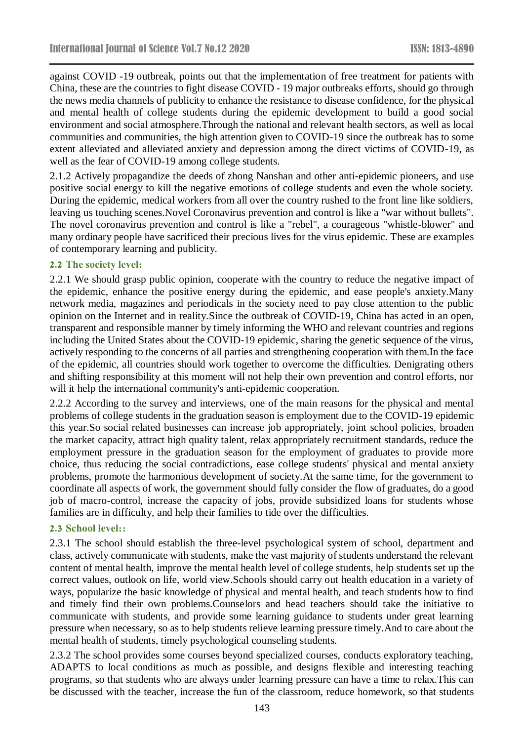against COVID -19 outbreak, points out that the implementation of free treatment for patients with China, these are the countries to fight disease COVID - 19 major outbreaks efforts, should go through the news media channels of publicity to enhance the resistance to disease confidence, for the physical and mental health of college students during the epidemic development to build a good social environment and social atmosphere.Through the national and relevant health sectors, as well as local communities and communities, the high attention given to COVID-19 since the outbreak has to some extent alleviated and alleviated anxiety and depression among the direct victims of COVID-19, as well as the fear of COVID-19 among college students.

2.1.2 Actively propagandize the deeds of zhong Nanshan and other anti-epidemic pioneers, and use positive social energy to kill the negative emotions of college students and even the whole society. During the epidemic, medical workers from all over the country rushed to the front line like soldiers, leaving us touching scenes.Novel Coronavirus prevention and control is like a "war without bullets". The novel coronavirus prevention and control is like a "rebel", a courageous "whistle-blower" and many ordinary people have sacrificed their precious lives for the virus epidemic. These are examples of contemporary learning and publicity.

#### **2.2 The society level:**

2.2.1 We should grasp public opinion, cooperate with the country to reduce the negative impact of the epidemic, enhance the positive energy during the epidemic, and ease people's anxiety.Many network media, magazines and periodicals in the society need to pay close attention to the public opinion on the Internet and in reality.Since the outbreak of COVID-19, China has acted in an open, transparent and responsible manner by timely informing the WHO and relevant countries and regions including the United States about the COVID-19 epidemic, sharing the genetic sequence of the virus, actively responding to the concerns of all parties and strengthening cooperation with them.In the face of the epidemic, all countries should work together to overcome the difficulties. Denigrating others and shifting responsibility at this moment will not help their own prevention and control efforts, nor will it help the international community's anti-epidemic cooperation.

2.2.2 According to the survey and interviews, one of the main reasons for the physical and mental problems of college students in the graduation season is employment due to the COVID-19 epidemic this year.So social related businesses can increase job appropriately, joint school policies, broaden the market capacity, attract high quality talent, relax appropriately recruitment standards, reduce the employment pressure in the graduation season for the employment of graduates to provide more choice, thus reducing the social contradictions, ease college students' physical and mental anxiety problems, promote the harmonious development of society.At the same time, for the government to coordinate all aspects of work, the government should fully consider the flow of graduates, do a good job of macro-control, increase the capacity of jobs, provide subsidized loans for students whose families are in difficulty, and help their families to tide over the difficulties.

#### **2.3 School level::**

2.3.1 The school should establish the three-level psychological system of school, department and class, actively communicate with students, make the vast majority of students understand the relevant content of mental health, improve the mental health level of college students, help students set up the correct values, outlook on life, world view.Schools should carry out health education in a variety of ways, popularize the basic knowledge of physical and mental health, and teach students how to find and timely find their own problems.Counselors and head teachers should take the initiative to communicate with students, and provide some learning guidance to students under great learning pressure when necessary, so as to help students relieve learning pressure timely.And to care about the mental health of students, timely psychological counseling students.

2.3.2 The school provides some courses beyond specialized courses, conducts exploratory teaching, ADAPTS to local conditions as much as possible, and designs flexible and interesting teaching programs, so that students who are always under learning pressure can have a time to relax.This can be discussed with the teacher, increase the fun of the classroom, reduce homework, so that students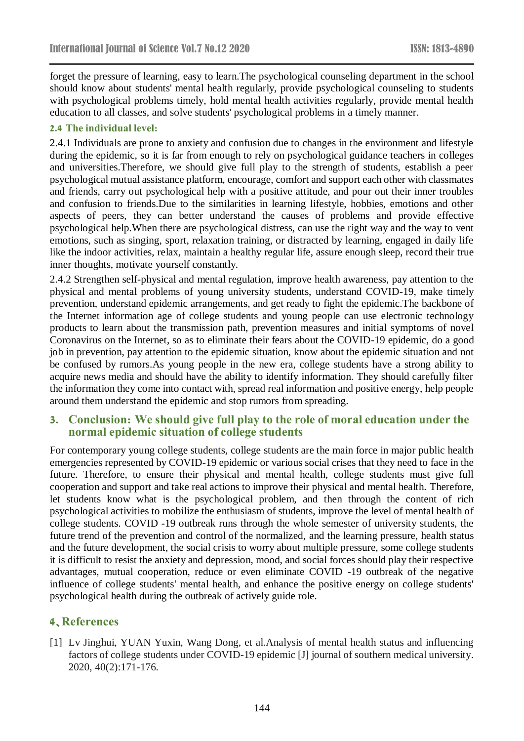forget the pressure of learning, easy to learn.The psychological counseling department in the school should know about students' mental health regularly, provide psychological counseling to students with psychological problems timely, hold mental health activities regularly, provide mental health education to all classes, and solve students' psychological problems in a timely manner.

#### **2.4 The individual level:**

2.4.1 Individuals are prone to anxiety and confusion due to changes in the environment and lifestyle during the epidemic, so it is far from enough to rely on psychological guidance teachers in colleges and universities.Therefore, we should give full play to the strength of students, establish a peer psychological mutual assistance platform, encourage, comfort and support each other with classmates and friends, carry out psychological help with a positive attitude, and pour out their inner troubles and confusion to friends.Due to the similarities in learning lifestyle, hobbies, emotions and other aspects of peers, they can better understand the causes of problems and provide effective psychological help.When there are psychological distress, can use the right way and the way to vent emotions, such as singing, sport, relaxation training, or distracted by learning, engaged in daily life like the indoor activities, relax, maintain a healthy regular life, assure enough sleep, record their true inner thoughts, motivate yourself constantly.

2.4.2 Strengthen self-physical and mental regulation, improve health awareness, pay attention to the physical and mental problems of young university students, understand COVID-19, make timely prevention, understand epidemic arrangements, and get ready to fight the epidemic.The backbone of the Internet information age of college students and young people can use electronic technology products to learn about the transmission path, prevention measures and initial symptoms of novel Coronavirus on the Internet, so as to eliminate their fears about the COVID-19 epidemic, do a good job in prevention, pay attention to the epidemic situation, know about the epidemic situation and not be confused by rumors.As young people in the new era, college students have a strong ability to acquire news media and should have the ability to identify information. They should carefully filter the information they come into contact with, spread real information and positive energy, help people around them understand the epidemic and stop rumors from spreading.

### **3. Conclusion: We should give full play to the role of moral education under the normal epidemic situation of college students**

For contemporary young college students, college students are the main force in major public health emergencies represented by COVID-19 epidemic or various social crises that they need to face in the future. Therefore, to ensure their physical and mental health, college students must give full cooperation and support and take real actions to improve their physical and mental health. Therefore, let students know what is the psychological problem, and then through the content of rich psychological activities to mobilize the enthusiasm of students, improve the level of mental health of college students. COVID -19 outbreak runs through the whole semester of university students, the future trend of the prevention and control of the normalized, and the learning pressure, health status and the future development, the social crisis to worry about multiple pressure, some college students it is difficult to resist the anxiety and depression, mood, and social forces should play their respective advantages, mutual cooperation, reduce or even eliminate COVID -19 outbreak of the negative influence of college students' mental health, and enhance the positive energy on college students' psychological health during the outbreak of actively guide role.

# **4、References**

[1] Lv Jinghui, YUAN Yuxin, Wang Dong, et al.Analysis of mental health status and influencing factors of college students under COVID-19 epidemic [J] journal of southern medical university. 2020, 40(2):171-176.